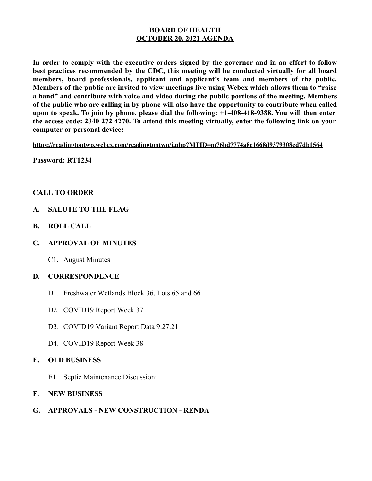### **BOARD OF HEALTH OCTOBER 20, 2021 AGENDA**

**In order to comply with the executive orders signed by the governor and in an effort to follow best practices recommended by the CDC, this meeting will be conducted virtually for all board members, board professionals, applicant and applicant's team and members of the public. Members of the public are invited to view meetings live using Webex which allows them to "raise a hand" and contribute with voice and video during the public portions of the meeting. Members of the public who are calling in by phone will also have the opportunity to contribute when called upon to speak. To join by phone, please dial the following: +1-408-418-9388. You will then enter the access code: 2340 272 4270. To attend this meeting virtually, enter the following link on your computer or personal device:**

**https://readingtontwp.webex.com/readingtontwp/j.php?MTID=m76bd7774a8c1668d9379308cd7db1564**

**Password: RT1234**

## **CALL TO ORDER**

- **A. SALUTE TO THE FLAG**
- **B. ROLL CALL**
- **C. APPROVAL OF MINUTES**
	- C1. August Minutes

### **D. CORRESPONDENCE**

- D1. Freshwater Wetlands Block 36, Lots 65 and 66
- D2. COVID19 Report Week 37
- D3. COVID19 Variant Report Data 9.27.21
- D4. COVID19 Report Week 38

## **E. OLD BUSINESS**

- E1. Septic Maintenance Discussion:
- **F. NEW BUSINESS**

## **G. APPROVALS - NEW CONSTRUCTION - RENDA**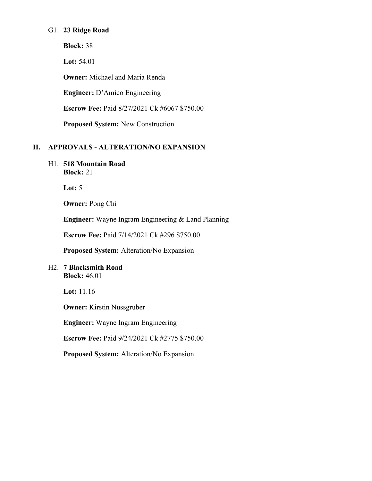### G1. **23 Ridge Road**

**Block:** 38

**Lot:** 54.01

**Owner:** Michael and Maria Renda

**Engineer:** D'Amico Engineering

**Escrow Fee:** Paid 8/27/2021 Ck #6067 \$750.00

**Proposed System:** New Construction

# **H. APPROVALS - ALTERATION/NO EXPANSION**

H1. **518 Mountain Road Block:** 21

**Lot:** 5

**Owner:** Pong Chi

**Engineer:** Wayne Ingram Engineering & Land Planning

**Escrow Fee:** Paid 7/14/2021 Ck #296 \$750.00

**Proposed System:** Alteration/No Expansion

### H2. **7 Blacksmith Road Block:** 46.01

**Lot:** 11.16

**Owner:** Kirstin Nussgruber

**Engineer:** Wayne Ingram Engineering

**Escrow Fee:** Paid 9/24/2021 Ck #2775 \$750.00

**Proposed System:** Alteration/No Expansion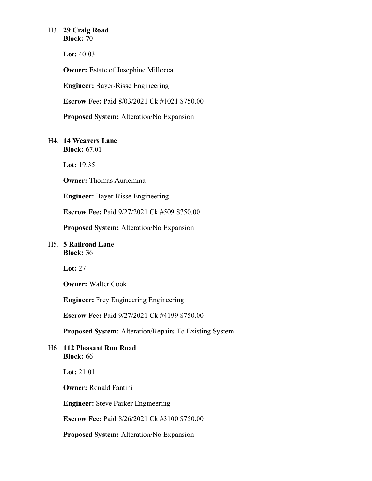# H3. **29 Craig Road**

**Block:** 70

**Lot:** 40.03

**Owner:** Estate of Josephine Millocca

**Engineer:** Bayer-Risse Engineering

**Escrow Fee:** Paid 8/03/2021 Ck #1021 \$750.00

**Proposed System:** Alteration/No Expansion

### H4. **14 Weavers Lane Block:** 67.01

**Lot:** 19.35

**Owner:** Thomas Auriemma

**Engineer:** Bayer-Risse Engineering

**Escrow Fee:** Paid 9/27/2021 Ck #509 \$750.00

**Proposed System:** Alteration/No Expansion

### H5. **5 Railroad Lane Block:** 36

**Lot:** 27

**Owner:** Walter Cook

**Engineer:** Frey Engineering Engineering

**Escrow Fee:** Paid 9/27/2021 Ck #4199 \$750.00

**Proposed System:** Alteration/Repairs To Existing System

### H6. **112 Pleasant Run Road Block:** 66

**Lot:** 21.01

**Owner:** Ronald Fantini

**Engineer:** Steve Parker Engineering

**Escrow Fee:** Paid 8/26/2021 Ck #3100 \$750.00

**Proposed System:** Alteration/No Expansion